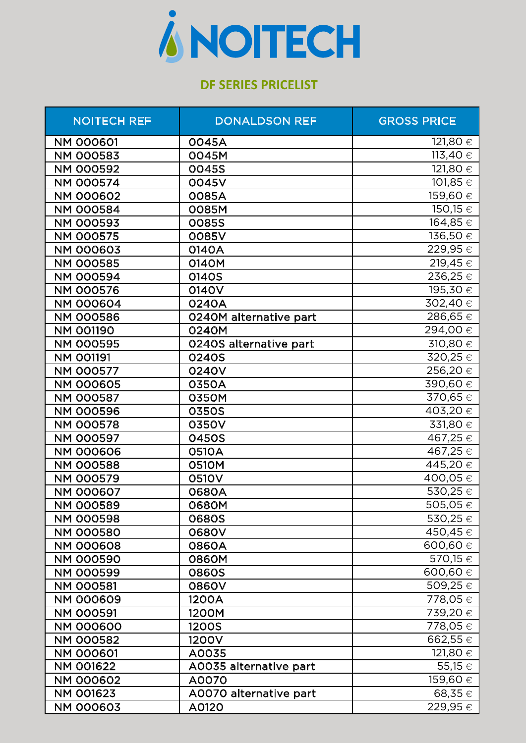

## **DF SERIES PRICELIST**

| <b>NOITECH REF</b> | <b>DONALDSON REF</b>   | <b>GROSS PRICE</b>      |
|--------------------|------------------------|-------------------------|
| <b>NM 000601</b>   | 0045A                  | 121,80 €                |
| <b>NM 000583</b>   | 0045M                  | 113,40 $\in$            |
| <b>NM 000592</b>   | 0045S                  | $121,80 \in$            |
| <b>NM 000574</b>   | 0045V                  | 101,85 €                |
| <b>NM 000602</b>   | 0085A                  | 159,60 €                |
| <b>NM 000584</b>   | 0085M                  | 150,15 €                |
| <b>NM 000593</b>   | <b>0085S</b>           | $\overline{164,85}$ €   |
| <b>NM 000575</b>   | 0085V                  | 136,50 €                |
| <b>NM 000603</b>   | 0140A                  | 229,95€                 |
| <b>NM 000585</b>   | 0140M                  | 219,45 €                |
| <b>NM 000594</b>   | 0140S                  | 236,25€                 |
| <b>NM 000576</b>   | 0140V                  | 195,30 €                |
| <b>NM 000604</b>   | 0240A                  | 302,40 €                |
| <b>NM 000586</b>   | 0240M alternative part | $286,65 \in$            |
| <b>NM 001190</b>   | 0240M                  | 294,00 €                |
| <b>NM 000595</b>   | 0240S alternative part | 310,80 €                |
| <b>NM 001191</b>   | 0240S                  | 320,25 €                |
| <b>NM 000577</b>   | 0240V                  | 256,20€                 |
| <b>NM 000605</b>   | 0350A                  | 390,60€                 |
| <b>NM 000587</b>   | 0350M                  | 370,65 €                |
| <b>NM 000596</b>   | 0350S                  | 403,20 €                |
| <b>NM 000578</b>   | 0350V                  | 331,80 €                |
| <b>NM 000597</b>   | 0450S                  | 467,25 €                |
| <b>NM 000606</b>   | 0510A                  | 467,25 €                |
| <b>NM 000588</b>   | 0510M                  | 445,20 €                |
| <b>NM 000579</b>   | 0510V                  | $\overline{4}00,05 \in$ |
| <b>NM 000607</b>   | 0680A                  | 530,25€                 |
| <b>NM 000589</b>   | 0680M                  | $\overline{505,05}$     |
| <b>NM 000598</b>   | <b>0680S</b>           | 530,25€                 |
| <b>NM 000580</b>   | 0680V                  | 450,45 €                |
| <b>NM 000608</b>   | 0860A                  | 600,60 €                |
| <b>NM 000590</b>   | 0860M                  | 570,15 €                |
| <b>NM 000599</b>   | <b>0860S</b>           | 600,60 €                |
| <b>NM 000581</b>   | 0860V                  | 509,25 €                |
| <b>NM 000609</b>   | 1200A                  | 778,05 €                |
| <b>NM 000591</b>   | 1200M                  | 739,20 €                |
| <b>NM 000600</b>   | <b>1200S</b>           | 778,05 €                |
| <b>NM 000582</b>   | 1200V                  | 662,55€                 |
| <b>NM 000601</b>   | A0035                  | 121,80 €                |
| <b>NM 001622</b>   | A0035 alternative part | 55,15 €                 |
| <b>NM 000602</b>   | A0070                  | 159,60 €                |
| <b>NM 001623</b>   | A0070 alternative part | 68,35€                  |
| <b>NM 000603</b>   | A0120                  | 229,95 €                |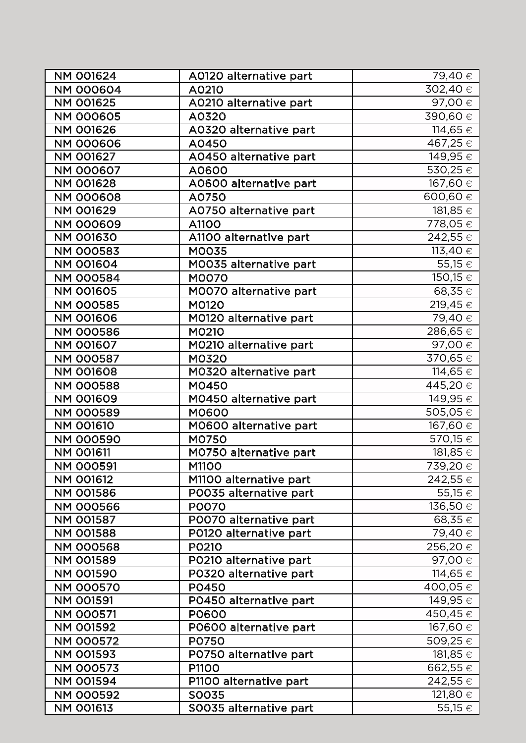| <b>NM 001624</b> | A0120 alternative part | 79,40 €                |
|------------------|------------------------|------------------------|
| <b>NM 000604</b> | A0210                  | $302,40 \in$           |
| <b>NM 001625</b> | A0210 alternative part | 97,00 €                |
| <b>NM 000605</b> | A0320                  | 390,60 €               |
| <b>NM 001626</b> | A0320 alternative part | 114,65 €               |
| <b>NM 000606</b> | A0450                  | 467,25€                |
| NM 001627        | A0450 alternative part | 149,95 €               |
| <b>NM 000607</b> | A0600                  | 530,25€                |
| <b>NM 001628</b> | A0600 alternative part | 167,60 €               |
| <b>NM 000608</b> | A0750                  | 600,60 €               |
| <b>NM 001629</b> | A0750 alternative part | 181,85 €               |
| <b>NM 000609</b> | A1100                  | 778,05 €               |
| <b>NM 001630</b> | A1100 alternative part | 242,55 €               |
| <b>NM 000583</b> | <b>MOO35</b>           | 113,40 $\in$           |
| <b>NM 001604</b> | M0035 alternative part | 55,15 €                |
| <b>NM 000584</b> | <b>MOO70</b>           | 150,15 €               |
| <b>NM 001605</b> | M0070 alternative part | 68,35€                 |
| <b>NM 000585</b> | M0120                  | 219,45 €               |
| <b>NM 001606</b> | M0120 alternative part | 79,40 €                |
| <b>NM 000586</b> | M0210                  | 286,65€                |
| <b>NM 001607</b> | M0210 alternative part | 97,00 €                |
| <b>NM 000587</b> | M0320                  | 370,65 €               |
| <b>NM 001608</b> | M0320 alternative part | 114,65 €               |
| <b>NM 000588</b> | M0450                  | $445,20 \in$           |
| <b>NM 001609</b> | M0450 alternative part | 149,95 €               |
| <b>NM 000589</b> | M0600                  | 505,05 €               |
| <b>NM 001610</b> | M0600 alternative part | 167,60 €               |
| <b>NM 000590</b> | M0750                  | 570,15 €               |
| <b>NM 001611</b> | M0750 alternative part | 181,85 €               |
| <b>NM 000591</b> | M1100                  | 739,20 €               |
| <b>NM 001612</b> | M1100 alternative part | 242,55 €               |
| <b>NM 001586</b> | PO035 alternative part | 55,15 €                |
| <b>NM 000566</b> | P0070                  | 136,50 €               |
| <b>NM 001587</b> | POO70 alternative part | 68,35 €                |
| <b>NM 001588</b> | P0120 alternative part | 79,40 €                |
| <b>NM 000568</b> | P0210                  | 256,20 €               |
| <b>NM 001589</b> | P0210 alternative part | 97,00 €                |
| <b>NM 001590</b> | P0320 alternative part | 114,65 €               |
| <b>NM 000570</b> | P0450                  | 400,05€                |
| <b>NM 001591</b> | P0450 alternative part | 149,95 €               |
| <b>NM 000571</b> | <b>PO600</b>           | 450,45 €               |
| <b>NM 001592</b> | P0600 alternative part | 167,60 €               |
| <b>NM 000572</b> | P0750                  | 509,25 €               |
| NM 001593        | P0750 alternative part | 181,85 €               |
| <b>NM 000573</b> | P1100                  | 662,55€                |
| <b>NM 001594</b> | P1100 alternative part | 242,55 €               |
| <b>NM 000592</b> | S0035                  | 121,80 €               |
| <b>NM 001613</b> | SO035 alternative part | $\overline{55,}15 \in$ |